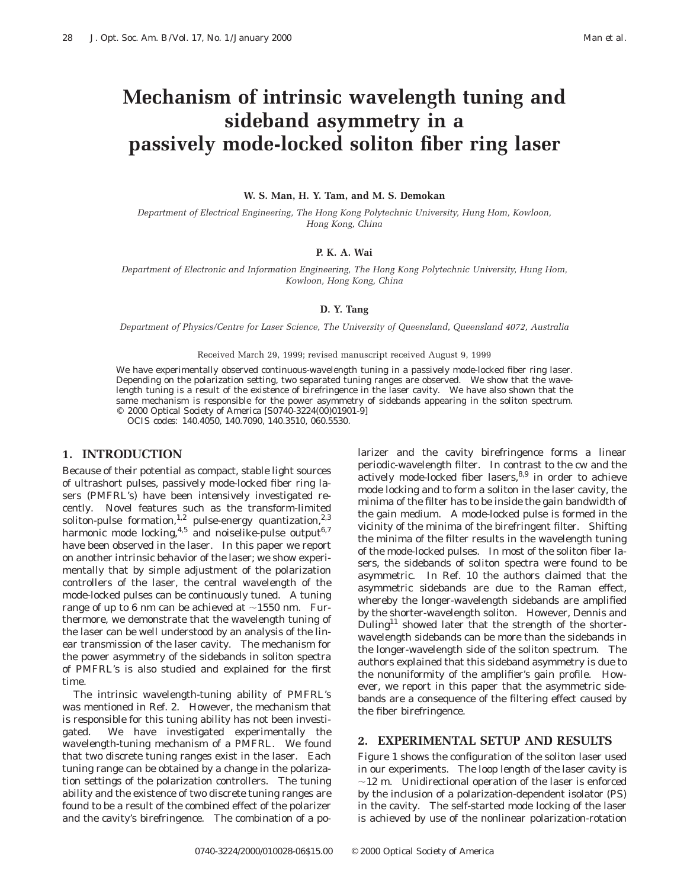# **Mechanism of intrinsic wavelength tuning and sideband asymmetry in a passively mode-locked soliton fiber ring laser**

#### **W. S. Man, H. Y. Tam, and M. S. Demokan**

*Department of Electrical Engineering, The Hong Kong Polytechnic University, Hung Hom, Kowloon, Hong Kong, China*

#### **P. K. A. Wai**

*Department of Electronic and Information Engineering, The Hong Kong Polytechnic University, Hung Hom, Kowloon, Hong Kong, China*

#### **D. Y. Tang**

*Department of Physics/Centre for Laser Science, The University of Queensland, Queensland 4072, Australia*

#### Received March 29, 1999; revised manuscript received August 9, 1999

We have experimentally observed continuous-wavelength tuning in a passively mode-locked fiber ring laser. Depending on the polarization setting, two separated tuning ranges are observed. We show that the wavelength tuning is a result of the existence of birefringence in the laser cavity. We have also shown that the same mechanism is responsible for the power asymmetry of sidebands appearing in the soliton spectrum. © 2000 Optical Society of America [S0740-3224(00)01901-9]

*OCIS codes:* 140.4050, 140.7090, 140.3510, 060.5530.

#### **1. INTRODUCTION**

Because of their potential as compact, stable light sources of ultrashort pulses, passively mode-locked fiber ring lasers (PMFRL's) have been intensively investigated recently. Novel features such as the transform-limited soliton-pulse formation,  $^{1,2}$  pulse-energy quantization,  $^{2,3}$ harmonic mode locking,  $4.5$  and noiselike-pulse output  $6.7$ have been observed in the laser. In this paper we report on another intrinsic behavior of the laser; we show experimentally that by simple adjustment of the polarization controllers of the laser, the central wavelength of the mode-locked pulses can be continuously tuned. A tuning range of up to 6 nm can be achieved at  $\sim$ 1550 nm. Furthermore, we demonstrate that the wavelength tuning of the laser can be well understood by an analysis of the linear transmission of the laser cavity. The mechanism for the power asymmetry of the sidebands in soliton spectra of PMFRL's is also studied and explained for the first time.

The intrinsic wavelength-tuning ability of PMFRL's was mentioned in Ref. 2. However, the mechanism that is responsible for this tuning ability has not been investigated. We have investigated experimentally the wavelength-tuning mechanism of a PMFRL. We found that two discrete tuning ranges exist in the laser. Each tuning range can be obtained by a change in the polarization settings of the polarization controllers. The tuning ability and the existence of two discrete tuning ranges are found to be a result of the combined effect of the polarizer and the cavity's birefringence. The combination of a polarizer and the cavity birefringence forms a linear periodic-wavelength filter. In contrast to the cw and the actively mode-locked fiber lasers, $8,9$  in order to achieve mode locking and to form a soliton in the laser cavity, the minima of the filter has to be inside the gain bandwidth of the gain medium. A mode-locked pulse is formed in the vicinity of the minima of the birefringent filter. Shifting the minima of the filter results in the wavelength tuning of the mode-locked pulses. In most of the soliton fiber lasers, the sidebands of soliton spectra were found to be asymmetric. In Ref. 10 the authors claimed that the asymmetric sidebands are due to the Raman effect, whereby the longer-wavelength sidebands are amplified by the shorter-wavelength soliton. However, Dennis and Duling<sup>11</sup> showed later that the strength of the shorterwavelength sidebands can be more than the sidebands in the longer-wavelength side of the soliton spectrum. The authors explained that this sideband asymmetry is due to the nonuniformity of the amplifier's gain profile. However, we report in this paper that the asymmetric sidebands are a consequence of the filtering effect caused by the fiber birefringence.

## **2. EXPERIMENTAL SETUP AND RESULTS**

Figure 1 shows the configuration of the soliton laser used in our experiments. The loop length of the laser cavity is  $\sim$ 12 m. Unidirectional operation of the laser is enforced by the inclusion of a polarization-dependent isolator (PS) in the cavity. The self-started mode locking of the laser is achieved by use of the nonlinear polarization-rotation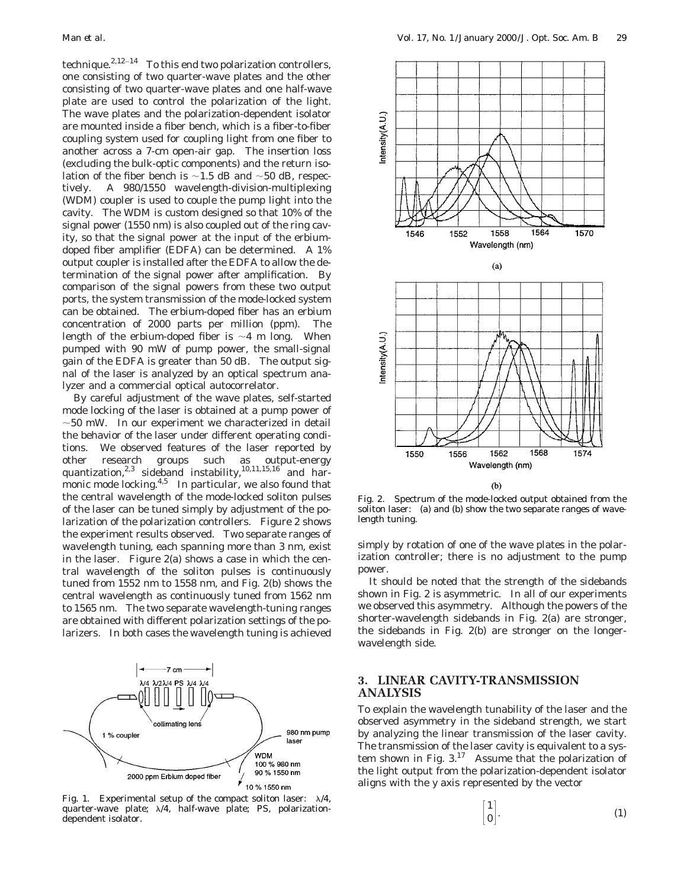technique. $2,12-14$  To this end two polarization controllers, one consisting of two quarter-wave plates and the other consisting of two quarter-wave plates and one half-wave plate are used to control the polarization of the light. The wave plates and the polarization-dependent isolator are mounted inside a fiber bench, which is a fiber-to-fiber coupling system used for coupling light from one fiber to another across a 7-cm open-air gap. The insertion loss (excluding the bulk-optic components) and the return isolation of the fiber bench is  $\sim$ 1.5 dB and  $\sim$ 50 dB, respectively. A 980/1550 wavelength-division-multiplexing (WDM) coupler is used to couple the pump light into the cavity. The WDM is custom designed so that 10% of the signal power (1550 nm) is also coupled out of the ring cavity, so that the signal power at the input of the erbiumdoped fiber amplifier (EDFA) can be determined. A 1% output coupler is installed after the EDFA to allow the determination of the signal power after amplification. By comparison of the signal powers from these two output ports, the system transmission of the mode-locked system can be obtained. The erbium-doped fiber has an erbium concentration of 2000 parts per million (ppm). The length of the erbium-doped fiber is  $\sim$ 4 m long. When pumped with 90 mW of pump power, the small-signal gain of the EDFA is greater than 50 dB. The output signal of the laser is analyzed by an optical spectrum analyzer and a commercial optical autocorrelator.

By careful adjustment of the wave plates, self-started mode locking of the laser is obtained at a pump power of  $\sim$ 50 mW. In our experiment we characterized in detail the behavior of the laser under different operating conditions. We observed features of the laser reported by other research groups such as output-energy quantization,<sup>2,3</sup> sideband instability,<sup>10,11,15,16</sup> and harmonic mode locking. $4.5$  In particular, we also found that the central wavelength of the mode-locked soliton pulses of the laser can be tuned simply by adjustment of the polarization of the polarization controllers. Figure 2 shows the experiment results observed. Two separate ranges of wavelength tuning, each spanning more than 3 nm, exist in the laser. Figure 2(a) shows a case in which the central wavelength of the soliton pulses is continuously tuned from 1552 nm to 1558 nm, and Fig. 2(b) shows the central wavelength as continuously tuned from 1562 nm to 1565 nm. The two separate wavelength-tuning ranges are obtained with different polarization settings of the polarizers. In both cases the wavelength tuning is achieved



Fig. 1. Experimental setup of the compact soliton laser:  $\lambda/4$ , quarter-wave plate;  $\lambda/4$ , half-wave plate; PS, polarizationdependent isolator.



Fig. 2. Spectrum of the mode-locked output obtained from the soliton laser: (a) and (b) show the two separate ranges of wavelength tuning.

simply by rotation of one of the wave plates in the polarization controller; there is no adjustment to the pump power.

It should be noted that the strength of the sidebands shown in Fig. 2 is asymmetric. In all of our experiments we observed this asymmetry. Although the powers of the shorter-wavelength sidebands in Fig. 2(a) are stronger, the sidebands in Fig. 2(b) are stronger on the longerwavelength side.

# **3. LINEAR CAVITY-TRANSMISSION ANALYSIS**

To explain the wavelength tunability of the laser and the observed asymmetry in the sideband strength, we start by analyzing the linear transmission of the laser cavity. The transmission of the laser cavity is equivalent to a system shown in Fig.  $3.17$  Assume that the polarization of the light output from the polarization-dependent isolator aligns with the *y* axis represented by the vector

$$
\begin{bmatrix} 1 \\ 0 \end{bmatrix}.
$$
 (1)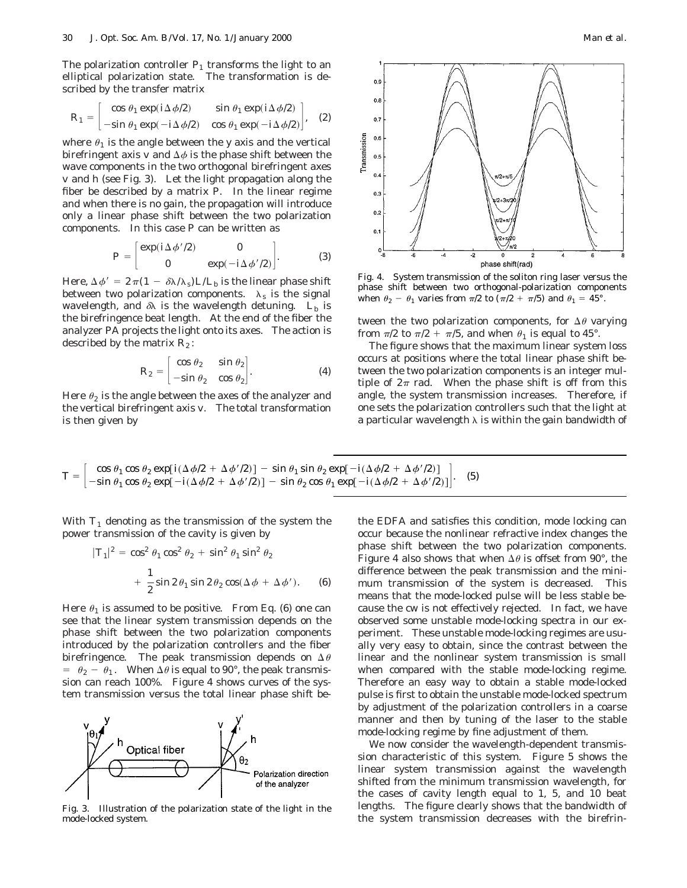The polarization controller  $P_1$  transforms the light to an elliptical polarization state. The transformation is described by the transfer matrix

$$
R_1 = \begin{bmatrix} \cos \theta_1 \exp(i\Delta \phi/2) & \sin \theta_1 \exp(i\Delta \phi/2) \\ -\sin \theta_1 \exp(-i\Delta \phi/2) & \cos \theta_1 \exp(-i\Delta \phi/2) \end{bmatrix}, \quad (2)
$$

where  $\theta_1$  is the angle between the *y* axis and the vertical birefringent axis *v* and  $\Delta \phi$  is the phase shift between the wave components in the two orthogonal birefringent axes *v* and *h* (see Fig. 3). Let the light propagation along the fiber be described by a matrix *P*. In the linear regime and when there is no gain, the propagation will introduce only a linear phase shift between the two polarization components. In this case *P* can be written as

$$
P = \begin{bmatrix} \exp(i\Delta\phi'/2) & 0\\ 0 & \exp(-i\Delta\phi'/2) \end{bmatrix}.
$$
 (3)

Here,  $\Delta \phi' = 2\pi (1 - \delta \lambda / \lambda_s) L/L_b$  is the linear phase shift between two polarization components.  $\lambda_s$  is the signal wavelength, and  $\delta \lambda$  is the wavelength detuning.  $L_b$  is the birefringence beat length. At the end of the fiber the analyzer PA projects the light onto its axes. The action is described by the matrix  $R_2$ :

$$
R_2 = \begin{bmatrix} \cos \theta_2 & \sin \theta_2 \\ -\sin \theta_2 & \cos \theta_2 \end{bmatrix} . \tag{4}
$$

Here  $\theta_2$  is the angle between the axes of the analyzer and the vertical birefringent axis *v*. The total transformation is then given by



Fig. 4. System transmission of the soliton ring laser versus the phase shift between two orthogonal-polarization components when  $\theta_2 - \theta_1$  varies from  $\pi/2$  to  $(\pi/2 + \pi/5)$  and  $\theta_1 = 45^\circ$ .

tween the two polarization components, for  $\Delta\theta$  varying from  $\pi/2$  to  $\pi/2$  +  $\pi/5$ , and when  $\theta_1$  is equal to 45°.

The figure shows that the maximum linear system loss occurs at positions where the total linear phase shift between the two polarization components is an integer multiple of  $2\pi$  rad. When the phase shift is off from this angle, the system transmission increases. Therefore, if one sets the polarization controllers such that the light at a particular wavelength  $\lambda$  is within the gain bandwidth of

$$
T = \begin{bmatrix} \cos \theta_1 \cos \theta_2 \exp[i(\Delta \phi/2 + \Delta \phi'/2)] - \sin \theta_1 \sin \theta_2 \exp[-i(\Delta \phi/2 + \Delta \phi'/2)] \\ -\sin \theta_1 \cos \theta_2 \exp[-i(\Delta \phi/2 + \Delta \phi'/2)] - \sin \theta_2 \cos \theta_1 \exp[-i(\Delta \phi/2 + \Delta \phi'/2)] \end{bmatrix}.
$$
 (5)

With  $T_1$  denoting as the transmission of the system the power transmission of the cavity is given by

$$
|T_1|^2 = \cos^2 \theta_1 \cos^2 \theta_2 + \sin^2 \theta_1 \sin^2 \theta_2
$$
  
+ 
$$
\frac{1}{2} \sin 2 \theta_1 \sin 2 \theta_2 \cos(\Delta \phi + \Delta \phi').
$$
 (6)

Here  $\theta_1$  is assumed to be positive. From Eq. (6) one can see that the linear system transmission depends on the phase shift between the two polarization components introduced by the polarization controllers and the fiber birefringence. The peak transmission depends on  $\Delta \theta$  $= \theta_2 - \theta_1$ . When  $\Delta \theta$  is equal to 90°, the peak transmission can reach 100%. Figure 4 shows curves of the system transmission versus the total linear phase shift be-



Fig. 3. Illustration of the polarization state of the light in the mode-locked system.

the EDFA and satisfies this condition, mode locking can occur because the nonlinear refractive index changes the phase shift between the two polarization components. Figure 4 also shows that when  $\Delta\theta$  is offset from 90°, the difference between the peak transmission and the minimum transmission of the system is decreased. This means that the mode-locked pulse will be less stable because the cw is not effectively rejected. In fact, we have observed some unstable mode-locking spectra in our experiment. These unstable mode-locking regimes are usually very easy to obtain, since the contrast between the linear and the nonlinear system transmission is small when compared with the stable mode-locking regime. Therefore an easy way to obtain a stable mode-locked pulse is first to obtain the unstable mode-locked spectrum by adjustment of the polarization controllers in a coarse manner and then by tuning of the laser to the stable mode-locking regime by fine adjustment of them.

We now consider the wavelength-dependent transmission characteristic of this system. Figure 5 shows the linear system transmission against the wavelength shifted from the minimum transmission wavelength, for the cases of cavity length equal to 1, 5, and 10 beat lengths. The figure clearly shows that the bandwidth of the system transmission decreases with the birefrin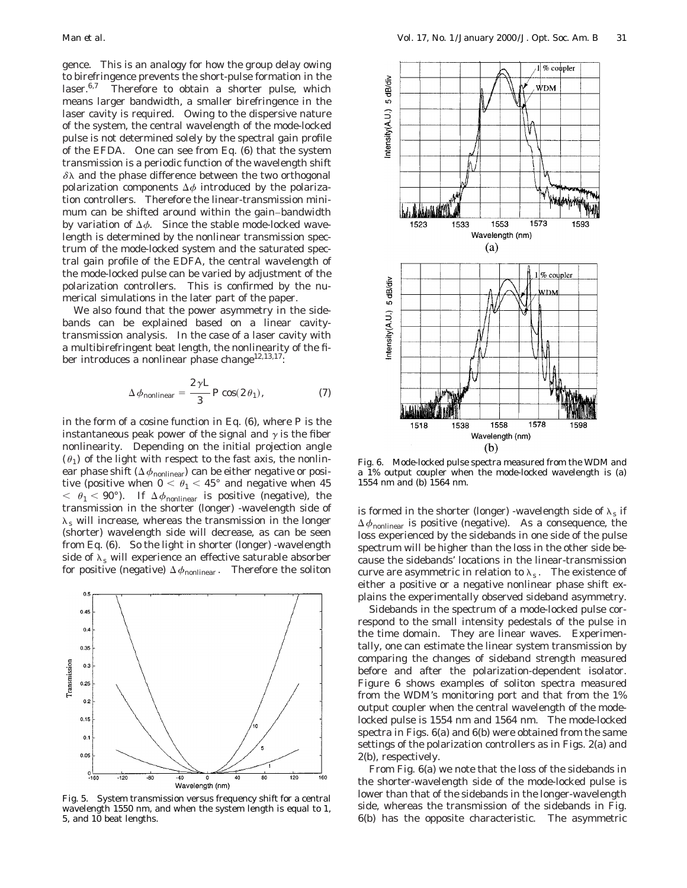gence. This is an analogy for how the group delay owing to birefringence prevents the short-pulse formation in the laser.<sup>6,7</sup> Therefore to obtain a shorter pulse, which means larger bandwidth, a smaller birefringence in the laser cavity is required. Owing to the dispersive nature of the system, the central wavelength of the mode-locked pulse is not determined solely by the spectral gain profile of the EFDA. One can see from Eq. (6) that the system transmission is a periodic function of the wavelength shift  $\delta\lambda$  and the phase difference between the two orthogonal polarization components  $\Delta \phi$  introduced by the polarization controllers. Therefore the linear-transmission minimum can be shifted around within the gain–bandwidth by variation of  $\Delta \phi$ . Since the stable mode-locked wavelength is determined by the nonlinear transmission spectrum of the mode-locked system and the saturated spectral gain profile of the EDFA, the central wavelength of the mode-locked pulse can be varied by adjustment of the polarization controllers. This is confirmed by the numerical simulations in the later part of the paper.

We also found that the power asymmetry in the sidebands can be explained based on a linear cavitytransmission analysis. In the case of a laser cavity with a multibirefringent beat length, the nonlinearity of the fiber introduces a nonlinear phase change<sup>12,13,17</sup>:

$$
\Delta \phi_{\text{nonlinear}} = \frac{2 \gamma L}{3} P \cos(2 \theta_1),\tag{7}
$$

in the form of a cosine function in Eq. (6), where *P* is the instantaneous peak power of the signal and  $\gamma$  is the fiber nonlinearity. Depending on the initial projection angle  $(\theta_1)$  of the light with respect to the fast axis, the nonlinear phase shift ( $\Delta \phi_{nonlinear}$ ) can be either negative or positive (positive when  $0 \le \theta_1 \le 45^{\circ}$  and negative when 45  $< \theta_1 < 90^{\circ}$ ). If  $\Delta \phi_{nonlinear}$  is positive (negative), the transmission in the shorter (longer) -wavelength side of  $\lambda_s$  will increase, whereas the transmission in the longer (shorter) wavelength side will decrease, as can be seen from Eq. (6). So the light in shorter (longer) -wavelength side of  $\lambda_s$  will experience an effective saturable absorber for positive (negative)  $\Delta \phi_{nonlinear}$ . Therefore the soliton



Fig. 5. System transmission versus frequency shift for a central wavelength 1550 nm, and when the system length is equal to 1, 5, and 10 beat lengths.



Fig. 6. Mode-locked pulse spectra measured from the WDM and a 1% output coupler when the mode-locked wavelength is (a) 1554 nm and (b) 1564 nm.

is formed in the shorter (longer) -wavelength side of  $\lambda_s$  if  $\Delta \phi_{nonlinear}$  is positive (negative). As a consequence, the loss experienced by the sidebands in one side of the pulse spectrum will be higher than the loss in the other side because the sidebands' locations in the linear-transmission curve are asymmetric in relation to  $\lambda_s$ . The existence of either a positive or a negative nonlinear phase shift explains the experimentally observed sideband asymmetry.

Sidebands in the spectrum of a mode-locked pulse correspond to the small intensity pedestals of the pulse in the time domain. They are linear waves. Experimentally, one can estimate the linear system transmission by comparing the changes of sideband strength measured before and after the polarization-dependent isolator. Figure 6 shows examples of soliton spectra measured from the WDM's monitoring port and that from the 1% output coupler when the central wavelength of the modelocked pulse is 1554 nm and 1564 nm. The mode-locked spectra in Figs. 6(a) and 6(b) were obtained from the same settings of the polarization controllers as in Figs. 2(a) and 2(b), respectively.

From Fig. 6(a) we note that the loss of the sidebands in the shorter-wavelength side of the mode-locked pulse is lower than that of the sidebands in the longer-wavelength side, whereas the transmission of the sidebands in Fig. 6(b) has the opposite characteristic. The asymmetric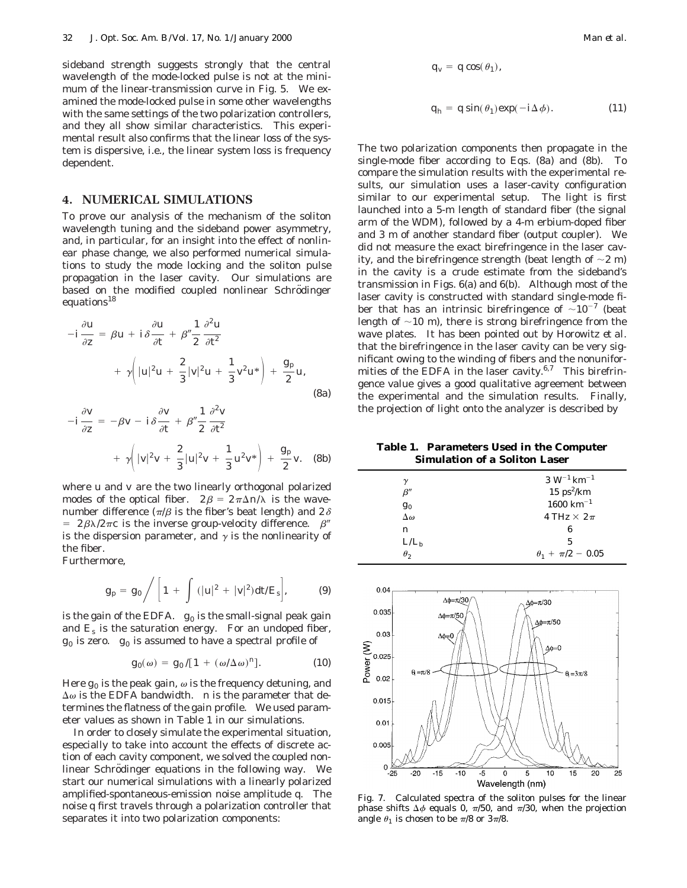sideband strength suggests strongly that the central wavelength of the mode-locked pulse is not at the minimum of the linear-transmission curve in Fig. 5. We examined the mode-locked pulse in some other wavelengths with the same settings of the two polarization controllers, and they all show similar characteristics. This experimental result also confirms that the linear loss of the system is dispersive, i.e., the linear system loss is frequency dependent.

#### **4. NUMERICAL SIMULATIONS**

To prove our analysis of the mechanism of the soliton wavelength tuning and the sideband power asymmetry, and, in particular, for an insight into the effect of nonlinear phase change, we also performed numerical simulations to study the mode locking and the soliton pulse propagation in the laser cavity. Our simulations are based on the modified coupled nonlinear Schrödinger equations<sup>18</sup>

$$
-i\frac{\partial u}{\partial z} = \beta u + i\delta \frac{\partial u}{\partial t} + \beta'' \frac{1}{2} \frac{\partial^2 u}{\partial t^2} + \gamma \left( |u|^2 u + \frac{2}{3} |v|^2 u + \frac{1}{3} v^2 u^* \right) + \frac{g_p}{2} u,
$$
(8a)

$$
-i\frac{\partial v}{\partial z} = -\beta v - i\delta \frac{\partial v}{\partial t} + \beta'' \frac{1}{2} \frac{\partial^2 v}{\partial t^2}
$$
  
+  $\gamma \left( |v|^2 v + \frac{2}{3} |u|^2 v + \frac{1}{3} u^2 v^* \right) + \frac{g_p}{2} v.$  (8b)

where *u* and *v* are the two linearly orthogonal polarized modes of the optical fiber.  $2\beta = 2\pi\Delta n/\lambda$  is the wavenumber difference ( $\pi/\beta$  is the fiber's beat length) and  $2\delta$  $= 2\beta\lambda/2\pi c$  is the inverse group-velocity difference.  $\beta''$ is the dispersion parameter, and  $\gamma$  is the nonlinearity of the fiber.

Furthermore,

$$
g_p = g_0 / \left[ 1 + \int (|u|^2 + |v|^2) dt / E_s \right],
$$
 (9)

is the gain of the EDFA.  $g_0$  is the small-signal peak gain and *Es* is the saturation energy. For an undoped fiber,  $g_0$  is zero.  $g_0$  is assumed to have a spectral profile of

$$
g_0(\omega) = g_0/[1 + (\omega/\Delta \omega)^n]. \tag{10}
$$

Here  $g_0$  is the peak gain,  $\omega$  is the frequency detuning, and  $\Delta\omega$  is the EDFA bandwidth. *n* is the parameter that determines the flatness of the gain profile. We used parameter values as shown in Table 1 in our simulations.

In order to closely simulate the experimental situation, especially to take into account the effects of discrete action of each cavity component, we solved the coupled nonlinear Schrödinger equations in the following way. We start our numerical simulations with a linearly polarized amplified-spontaneous-emission noise amplitude *q*. The noise *q* first travels through a polarization controller that separates it into two polarization components:

$$
q_v = q \cos(\theta_1),
$$
  
\n
$$
q_h = q \sin(\theta_1) \exp(-i\Delta\phi).
$$
 (11)

The two polarization components then propagate in the single-mode fiber according to Eqs. (8a) and (8b). To compare the simulation results with the experimental results, our simulation uses a laser-cavity configuration similar to our experimental setup. The light is first launched into a 5-m length of standard fiber (the signal arm of the WDM), followed by a 4-m erbium-doped fiber and 3 m of another standard fiber (output coupler). We did not measure the exact birefringence in the laser cavity, and the birefringence strength (beat length of  $\sim$ 2 m) in the cavity is a crude estimate from the sideband's transmission in Figs. 6(a) and 6(b). Although most of the laser cavity is constructed with standard single-mode fiber that has an intrinsic birefringence of  $\sim 10^{-7}$  (beat length of  $\sim$ 10 m), there is strong birefringence from the wave plates. It has been pointed out by Horowitz *et al.* that the birefringence in the laser cavity can be very significant owing to the winding of fibers and the nonuniformities of the EDFA in the laser cavity. $6,7$  This birefringence value gives a good qualitative agreement between the experimental and the simulation results. Finally, the projection of light onto the analyzer is described by

**Table 1. Parameters Used in the Computer Simulation of a Soliton Laser**

| γ                | $3 W^{-1}$ km <sup>-1</sup> |
|------------------|-----------------------------|
| $\beta''$        | $15 \text{ ps}^2/\text{km}$ |
| $g_0$            | $1600 \text{ km}^{-1}$      |
| $\Delta\omega$   | 4 THz $\times$ 2 $\pi$      |
| $\boldsymbol{n}$ | 6                           |
| $L/L_b$          | 5                           |
| $\theta_2$       | $\theta_1 + \pi/2 - 0.05$   |
|                  |                             |



Fig. 7. Calculated spectra of the soliton pulses for the linear phase shifts  $\Delta \phi$  equals 0,  $\pi/50$ , and  $\pi/30$ , when the projection angle  $\theta_1$  is chosen to be  $\pi/8$  or  $3\pi/8$ .